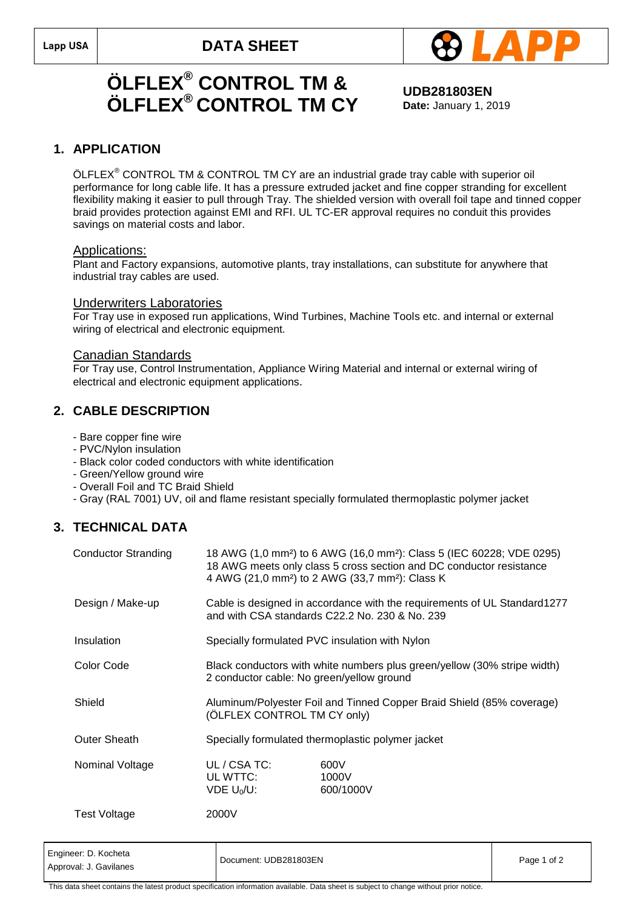

## **ÖLFLEX® CONTROL TM & ÖLFLEX® CONTROL TM CY**

**UDB281803EN Date:** January 1, 2019

### **1. APPLICATION**

 $\text{ÖLFLEX}^{\circledast}$  CONTROL TM & CONTROL TM CY are an industrial grade tray cable with superior oil performance for long cable life. It has a pressure extruded jacket and fine copper stranding for excellent flexibility making it easier to pull through Tray. The shielded version with overall foil tape and tinned copper braid provides protection against EMI and RFI. UL TC-ER approval requires no conduit this provides savings on material costs and labor.

#### Applications:

Plant and Factory expansions, automotive plants, tray installations, can substitute for anywhere that industrial tray cables are used.

#### Underwriters Laboratories

For Tray use in exposed run applications, Wind Turbines, Machine Tools etc. and internal or external wiring of electrical and electronic equipment.

#### Canadian Standards

For Tray use, Control Instrumentation, Appliance Wiring Material and internal or external wiring of electrical and electronic equipment applications.

### **2. CABLE DESCRIPTION**

- Bare copper fine wire
- PVC/Nylon insulation
- Black color coded conductors with white identification
- Green/Yellow ground wire
- Overall Foil and TC Braid Shield
- Gray (RAL 7001) UV, oil and flame resistant specially formulated thermoplastic polymer jacket

## **3. TECHNICAL DATA**

| <b>Conductor Stranding</b> | 18 AWG (1,0 mm <sup>2</sup> ) to 6 AWG (16,0 mm <sup>2</sup> ): Class 5 (IEC 60228; VDE 0295)<br>18 AWG meets only class 5 cross section and DC conductor resistance<br>4 AWG (21,0 mm <sup>2</sup> ) to 2 AWG (33,7 mm <sup>2</sup> ): Class K |                            |  |
|----------------------------|-------------------------------------------------------------------------------------------------------------------------------------------------------------------------------------------------------------------------------------------------|----------------------------|--|
| Design / Make-up           | Cable is designed in accordance with the requirements of UL Standard1277<br>and with CSA standards C22.2 No. 230 & No. 239                                                                                                                      |                            |  |
| Insulation                 | Specially formulated PVC insulation with Nylon                                                                                                                                                                                                  |                            |  |
| Color Code                 | Black conductors with white numbers plus green/yellow (30% stripe width)<br>2 conductor cable: No green/yellow ground                                                                                                                           |                            |  |
| Shield                     | Aluminum/Polyester Foil and Tinned Copper Braid Shield (85% coverage)<br>(ÖLFLEX CONTROL TM CY only)                                                                                                                                            |                            |  |
| <b>Outer Sheath</b>        | Specially formulated thermoplastic polymer jacket                                                                                                                                                                                               |                            |  |
| Nominal Voltage            | UL / CSA TC:<br>UL WTTC:<br>$VDE U_0/U$ :                                                                                                                                                                                                       | 600V<br>1000V<br>600/1000V |  |
| Test Voltage               | 2000V                                                                                                                                                                                                                                           |                            |  |

| Engineer: D. Kocheta<br>Approval: J. Gavilanes | Document: UDB281803EN                                                                                                                  | Page 1 of 2 |
|------------------------------------------------|----------------------------------------------------------------------------------------------------------------------------------------|-------------|
|                                                | This data sheet contains the latest product specification information available. Data sheet is subject to change without prior notice. |             |